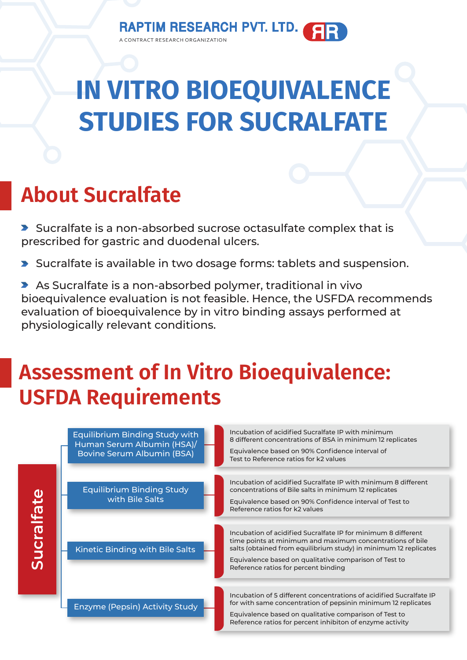# **IN VITRO BIOEQUIVALENCE STUDIES FOR SUCRALFATE**

## **About Sucralfate**

Sucralfate is a non-absorbed sucrose octasulfate complex that is prescribed for gastric and duodenal ulcers.

- Sucralfate is available in two dosage forms: tablets and suspension.
- As Sucralfate is a non-absorbed polymer, traditional in vivo bioequivalence evaluation is not feasible. Hence, the USFDA recommends evaluation of bioequivalence by in vitro binding assays performed at physiologically relevant conditions.

### **Assessment of In Vitro Bioequivalence: USFDA Requirements**

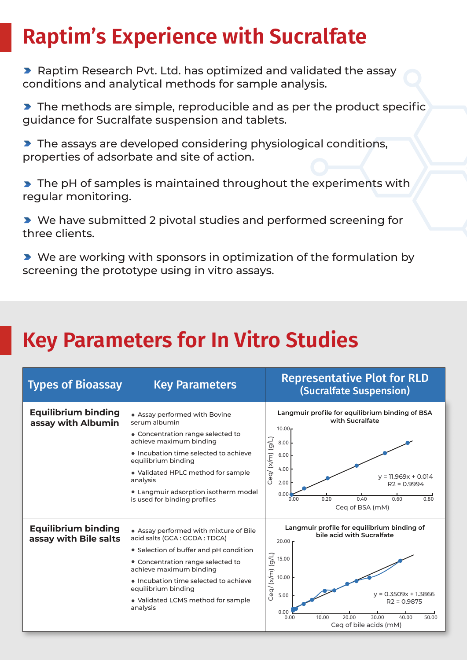## **Raptim's Experience with Sucralfate**

**Raptim Research Pvt. Ltd. has optimized and validated the assay** conditions and analytical methods for sample analysis.

**The methods are simple, reproducible and as per the product specific** guidance for Sucralfate suspension and tablets.

The assays are developed considering physiological conditions, properties of adsorbate and site of action.

The pH of samples is maintained throughout the experiments with regular monitoring.

▶ We have submitted 2 pivotal studies and performed screening for three clients.

▶ We are working with sponsors in optimization of the formulation by screening the prototype using in vitro assays.

#### **Key Parameters for In Vitro Studies**

| <b>Types of Bioassay</b>                            | <b>Key Parameters</b>                                                                                                                                                                                                                                                                                    | <b>Representative Plot for RLD</b><br>(Sucralfate Suspension)                                                                                                                                                                                                                |
|-----------------------------------------------------|----------------------------------------------------------------------------------------------------------------------------------------------------------------------------------------------------------------------------------------------------------------------------------------------------------|------------------------------------------------------------------------------------------------------------------------------------------------------------------------------------------------------------------------------------------------------------------------------|
| <b>Equilibrium binding</b><br>assay with Albumin    | • Assay performed with Bovine<br>serum albumin<br>• Concentration range selected to<br>achieve maximum binding<br>. Incubation time selected to achieve<br>equilibrium binding<br>• Validated HPLC method for sample<br>analysis<br>• Langmuir adsorption isotherm model<br>is used for binding profiles | Langmuir profile for equilibrium binding of BSA<br>with Sucralfate<br>$10.00 -$<br>Ceq/ (x/m) (g/L)<br>8.00<br>6.00<br>4.00<br>$y = 11.969x + 0.014$<br>2.00<br>$R2 = 0.9994$<br>0.00<br>0.20<br>0.40<br>0.60<br>0.80<br>0.00<br>Ceg of BSA (mM)                             |
| <b>Equilibrium binding</b><br>assay with Bile salts | • Assay performed with mixture of Bile<br>acid salts (GCA: GCDA: TDCA)<br>• Selection of buffer and pH condition<br>• Concentration range selected to<br>achieve maximum binding<br>• Incubation time selected to achieve<br>equilibrium binding<br>• Validated LCMS method for sample<br>analysis       | Langmuir profile for equilibrium binding of<br>bile acid with Sucralfate<br>$20.00 \text{ r}$<br>Ceq/(x/m) (g/L)<br>15.00<br>10.00<br>$y = 0.3509x + 1.3866$<br>5.00<br>$R2 = 0.9875$<br>0.00<br>20.00<br>30.00<br>40.00<br>10.00<br>50.00<br>0.00<br>Ceq of bile acids (mM) |